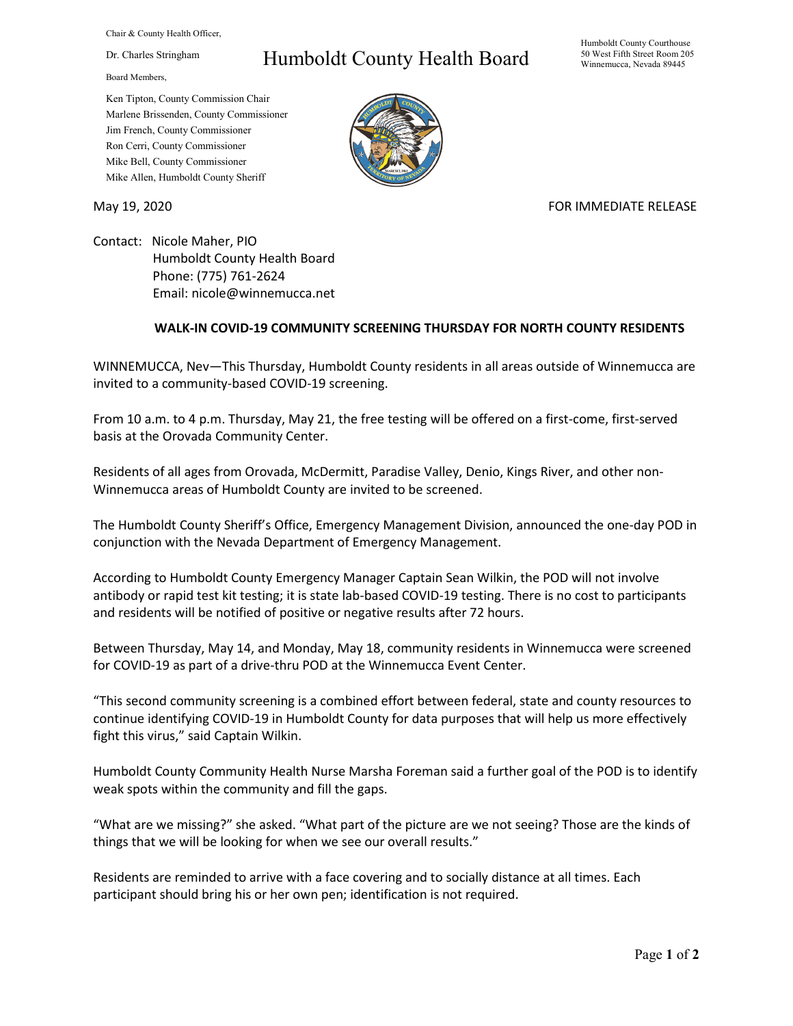Chair & County Health Officer,

Dr. Charles Stringham

Board Members,

## Humboldt County Health Board

Humboldt County Courthouse 50 West Fifth Street Room 205 Winnemucca, Nevada 89445

Ken Tipton, County Commission Chair Marlene Brissenden, County Commissioner Jim French, County Commissioner Ron Cerri, County Commissioner Mike Bell, County Commissioner Mike Allen, Humboldt County Sheriff

May 19, 2020 **FOR IMMEDIATE RELEASE** 

Contact: Nicole Maher, PIO Humboldt County Health Board Phone: (775) 761-2624 Email: nicole@winnemucca.net

## **WALK-IN COVID-19 COMMUNITY SCREENING THURSDAY FOR NORTH COUNTY RESIDENTS**

WINNEMUCCA, Nev—This Thursday, Humboldt County residents in all areas outside of Winnemucca are invited to a community-based COVID-19 screening.

From 10 a.m. to 4 p.m. Thursday, May 21, the free testing will be offered on a first-come, first-served basis at the Orovada Community Center.

Residents of all ages from Orovada, McDermitt, Paradise Valley, Denio, Kings River, and other non-Winnemucca areas of Humboldt County are invited to be screened.

The Humboldt County Sheriff's Office, Emergency Management Division, announced the one-day POD in conjunction with the Nevada Department of Emergency Management.

According to Humboldt County Emergency Manager Captain Sean Wilkin, the POD will not involve antibody or rapid test kit testing; it is state lab-based COVID-19 testing. There is no cost to participants and residents will be notified of positive or negative results after 72 hours.

Between Thursday, May 14, and Monday, May 18, community residents in Winnemucca were screened for COVID-19 as part of a drive-thru POD at the Winnemucca Event Center.

"This second community screening is a combined effort between federal, state and county resources to continue identifying COVID-19 in Humboldt County for data purposes that will help us more effectively fight this virus," said Captain Wilkin.

Humboldt County Community Health Nurse Marsha Foreman said a further goal of the POD is to identify weak spots within the community and fill the gaps.

"What are we missing?" she asked. "What part of the picture are we not seeing? Those are the kinds of things that we will be looking for when we see our overall results."

Residents are reminded to arrive with a face covering and to socially distance at all times. Each participant should bring his or her own pen; identification is not required.